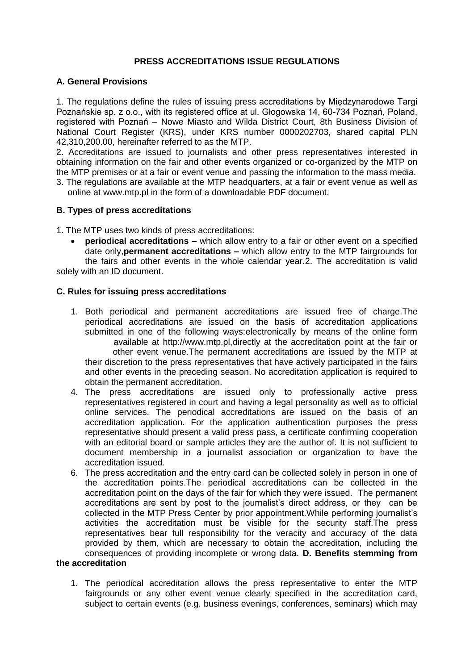# **PRESS ACCREDITATIONS ISSUE REGULATIONS**

## **A. General Provisions**

1. The regulations define the rules of issuing press accreditations by Międzynarodowe Targi Poznańskie sp. z o.o., with its registered office at ul. Głogowska 14, 60-734 Poznań, Poland, registered with Poznań – Nowe Miasto and Wilda District Court, 8th Business Division of National Court Register (KRS), under KRS number 0000202703, shared capital PLN 42,310,200.00, hereinafter referred to as the MTP.

2. Accreditations are issued to journalists and other press representatives interested in obtaining information on the fair and other events organized or co-organized by the MTP on the MTP premises or at a fair or event venue and passing the information to the mass media.

3. The regulations are available at the MTP headquarters, at a fair or event venue as well as online at www.mtp.pl in the form of a downloadable PDF document.

## **B. Types of press accreditations**

1. The MTP uses two kinds of press accreditations:

 **periodical accreditations –** which allow entry to a fair or other event on a specified date only,**permanent accreditations –** which allow entry to the MTP fairgrounds for the fairs and other events in the whole calendar year.2. The accreditation is valid solely with an ID document.

## **C. Rules for issuing press accreditations**

- 1. Both periodical and permanent accreditations are issued free of charge.The periodical accreditations are issued on the basis of accreditation applications submitted in one of the following ways:electronically by means of the online form available at http://www.mtp.pl,directly at the accreditation point at the fair or other event venue.The permanent accreditations are issued by the MTP at their discretion to the press representatives that have actively participated in the fairs and other events in the preceding season. No accreditation application is required to obtain the permanent accreditation.
- 4. The press accreditations are issued only to professionally active press representatives registered in court and having a legal personality as well as to official online services. The periodical accreditations are issued on the basis of an accreditation application. For the application authentication purposes the press representative should present a valid press pass, a certificate confirming cooperation with an editorial board or sample articles they are the author of. It is not sufficient to document membership in a journalist association or organization to have the accreditation issued.
- 6. The press accreditation and the entry card can be collected solely in person in one of the accreditation points.The periodical accreditations can be collected in the accreditation point on the days of the fair for which they were issued. The permanent accreditations are sent by post to the journalist's direct address, or they can be collected in the MTP Press Center by prior appointment.While performing journalist's activities the accreditation must be visible for the security staff.The press representatives bear full responsibility for the veracity and accuracy of the data provided by them, which are necessary to obtain the accreditation, including the consequences of providing incomplete or wrong data. **D. Benefits stemming from**

# **the accreditation**

1. The periodical accreditation allows the press representative to enter the MTP fairgrounds or any other event venue clearly specified in the accreditation card, subject to certain events (e.g. business evenings, conferences, seminars) which may